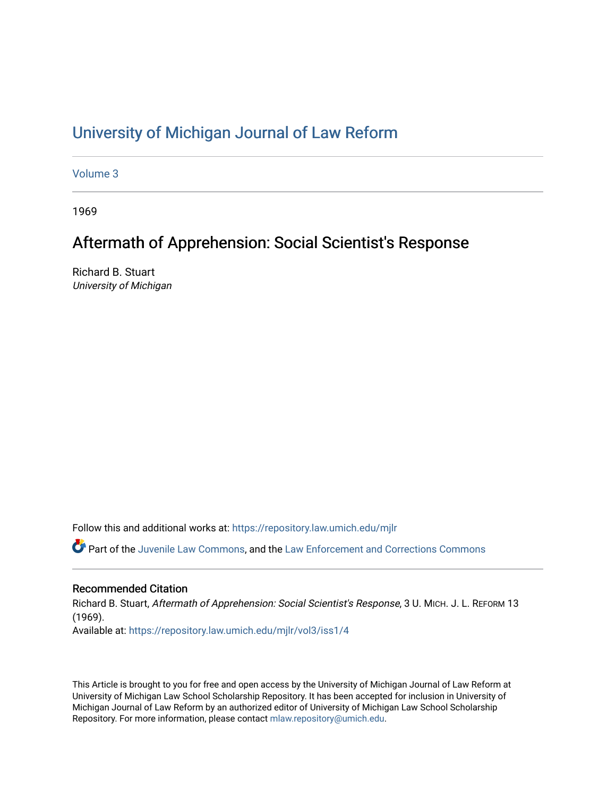## [University of Michigan Journal of Law Reform](https://repository.law.umich.edu/mjlr)

[Volume 3](https://repository.law.umich.edu/mjlr/vol3)

1969

# Aftermath of Apprehension: Social Scientist's Response

Richard B. Stuart University of Michigan

Follow this and additional works at: [https://repository.law.umich.edu/mjlr](https://repository.law.umich.edu/mjlr?utm_source=repository.law.umich.edu%2Fmjlr%2Fvol3%2Fiss1%2F4&utm_medium=PDF&utm_campaign=PDFCoverPages) 

Part of the [Juvenile Law Commons](http://network.bepress.com/hgg/discipline/851?utm_source=repository.law.umich.edu%2Fmjlr%2Fvol3%2Fiss1%2F4&utm_medium=PDF&utm_campaign=PDFCoverPages), and the Law Enforcement and Corrections Commons

#### Recommended Citation

Richard B. Stuart, Aftermath of Apprehension: Social Scientist's Response, 3 U. MICH. J. L. REFORM 13 (1969). Available at: [https://repository.law.umich.edu/mjlr/vol3/iss1/4](https://repository.law.umich.edu/mjlr/vol3/iss1/4?utm_source=repository.law.umich.edu%2Fmjlr%2Fvol3%2Fiss1%2F4&utm_medium=PDF&utm_campaign=PDFCoverPages)

This Article is brought to you for free and open access by the University of Michigan Journal of Law Reform at University of Michigan Law School Scholarship Repository. It has been accepted for inclusion in University of Michigan Journal of Law Reform by an authorized editor of University of Michigan Law School Scholarship Repository. For more information, please contact [mlaw.repository@umich.edu](mailto:mlaw.repository@umich.edu).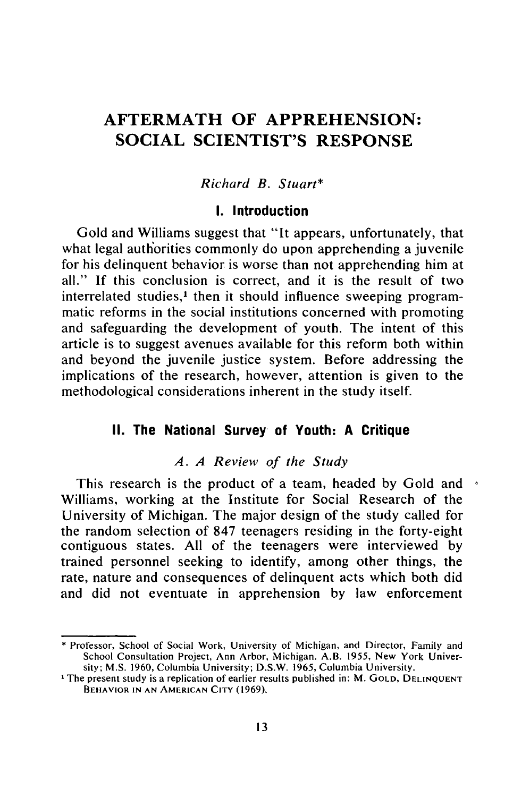## **AFTERMATH OF APPREHENSION: SOCIAL SCIENTIST'S RESPONSE**

#### Richard B. Stuart\*

#### **I. Introduction**

Gold and Williams suggest that "It appears, unfortunately, that what legal authorities commonly do upon apprehending a juvenile for his delinquent behavior is worse than not apprehending him at all." If this conclusion is correct, and it is the result of two interrelated studies,<sup>1</sup> then it should influence sweeping programmatic reforms in the social institutions concerned with promoting and safeguarding the development of youth. The intent of this article is to suggest avenues available for this reform both within and beyond the juvenile justice system. Before addressing the implications of the research, however, attention is given to the methodological considerations inherent in the study itself.

## **II. The National Survey of Youth: A Critique**

#### *A. A Review of the Study*

This research is the product of a team, headed by Gold and  $\rightarrow$ Williams, working at the Institute for Social Research of the University of Michigan. The major design of the study called for the random selection of 847 teenagers residing in the forty-eight contiguous states. All of the teenagers were interviewed by trained personnel seeking to identify, among other things, the rate, nature and consequences of delinquent acts which both did and did not eventuate in apprehension by law enforcement

Professor, School of Social Work, University of Michigan, and Director, Family and School Consultation Project, Ann Arbor, Michigan. A.B. 1955, New York University; M.S. 1960, Columbia University; D.S.W. 1965, Columbia University.

**<sup>1</sup>** The present study is a replication of earlier results published in: M. **GOLD, DELINQUENT** BEHAVIOR **IN AN AMERICAN** CITY (1969).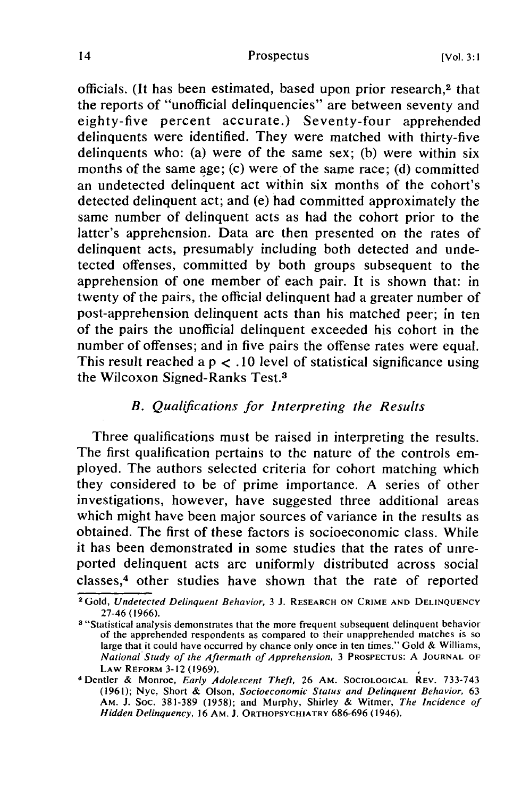officials. (It has been estimated, based upon prior research,<sup>2</sup> that the reports of "unofficial delinquencies" are between seventy and eighty-five percent accurate.) Seventy-four apprehended delinquents were identified. They were matched with thirty-five delinquents who: (a) were of the same sex; (b) were within six months of the same age; (c) were of the same race; (d) committed an undetected delinquent act within six months of the cohort's detected delinquent act; and (e) had committed approximately the same number of delinquent acts as had the cohort prior to the latter's apprehension. Data are then presented on the rates of delinquent acts, presumably including both detected and undetected offenses, committed by both groups subsequent to the apprehension of one member of each pair. It is shown that: in twenty of the pairs, the official delinquent had a greater number of post-apprehension delinquent acts than his matched peer; in ten of the pairs the unofficial delinquent exceeded his cohort in the number of offenses; and in five pairs the offense rates were equal. This result reached a  $p < .10$  level of statistical significance using the Wilcoxon Signed-Ranks Test.3

#### *B. Qualifications for Interpreting the Results*

Three qualifications must be raised in interpreting the results. The first qualification pertains to the nature of the controls employed. The authors selected criteria for cohort matching which they considered to be of prime importance. A series of other investigations, however, have suggested three additional areas which might have been major sources of variance in the results as obtained. The first of these factors is socioeconomic class. While it has been demonstrated in some studies that the rates of unreported delinquent acts are uniformly distributed across social classes, 4 other studies have shown that the rate of reported

**<sup>2</sup>**Gold, *Undetected Delinquent Behavior,* 3 J. RESEARCH **ON** CRIME **AND DELINQUENCY** 27-46 (1966).

a "Statistical analysis demonstrates that the more frequent subsequent delinquent behavior of the apprehended respondents as compared to their unapprehended matches is so large that it could have occurred by chance only once in ten times." Gold & Williams, *National Study of the Aftermath of Apprehension,* 3 **PROSPECTUS:** A **JOURNAL** OF LAW REFORM 3-12 (1969).

<sup>&</sup>lt;sup>4</sup> Dentler & Monroe, *Early Adolescent Theft*, 26 AM. SOCIOLOGICAL REV. 733-743 (1961); Nye, Short & Olson, *Socioeconomic Status and Delinquent Behavior,* 63 AM. J. Soc. 381-389 (1958); and Murphy, Shirley & Witmer, *The Incidence of Hidden Delinquency,* **16 AM. J. ORTHOPSYCHIATRY** 686-696 (1946).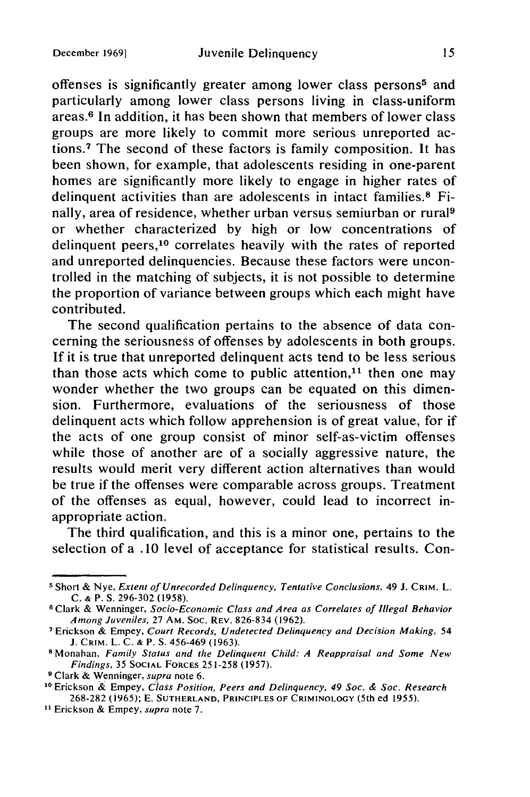offenses is significantly greater among lower class persons<sup>5</sup> and particularly among lower class persons living in class-uniform areas. 6 In addition, it has been shown that members of lower class groups are more likely to commit more serious unreported actions.<sup>7</sup> The second of these factors is family composition. It has been shown, for example, that adolescents residing in one-parent homes are significantly more likely to engage in higher rates of delinquent activities than are adolescents in intact families.<sup>8</sup> Finally, area of residence, whether urban versus semiurban or rural9 or whether characterized by high or low concentrations of delinquent peers,10 correlates heavily with the rates of reported and unreported delinquencies. Because these factors were uncontrolled in the matching of subjects, it is not possible to determine the proportion of variance between groups which each might have contributed.

The second qualification pertains to the absence of data concerning the seriousness of offenses by adolescents in both groups. If it is true that unreported delinquent acts tend to be less serious than those acts which come to public attention, $11$  then one may wonder whether the two groups can be equated on this dimension. Furthermore, evaluations of the seriousness of those delinquent acts which follow apprehension is of great value, for if the acts of one group consist of minor self-as-victim offenses while those of another are of a socially aggressive nature, the results would merit very different action alternatives than would be true if the offenses were comparable across groups. Treatment of the offenses as equal, however, could lead to incorrect inappropriate action.

The third qualification, and this is a minor one, pertains to the selection of a .10 level of acceptance for statistical results. Con-

**<sup>5</sup>** Short **&** Nye, Extent of Unrecorded Delinquency, Tentative Conclusions, 49 J. **CRIM.** L. C. **&** P. **S.** 296-302 (1958). **<sup>6</sup>**Clark & Wenninger, Socio-Economic Class and Area as Correlates of Illegal Behavior

Among Juveniles, 27 AM. Soc. REV. 826-834 (1962).

**<sup>7</sup>** Erickson & Empey, Court Records, Undetected Delinquency and Decision Making, 54 J. CRIM. L. C. **&** P. **S.** 456-469 (1963).

**<sup>8</sup>** Monahan, Family Status and the Delinquent Child: A Reappraisal and Some New Findings, 35 **SOCIAL** FORCES 251-258 (1957).

<sup>&</sup>lt;sup>9</sup> Clark & Wenninger, supra note 6.

**<sup>10</sup>**Erickson & Empey, Class Position, Peers and Delinquency, 49 Soc. & Soc. Research 268-282 (1965); E. **SUTHERLAND,** PRINCIPLES OF CRIMINOLOGY (5th ed 1955).

<sup>&</sup>lt;sup>11</sup> Erickson & Empey, supra note 7.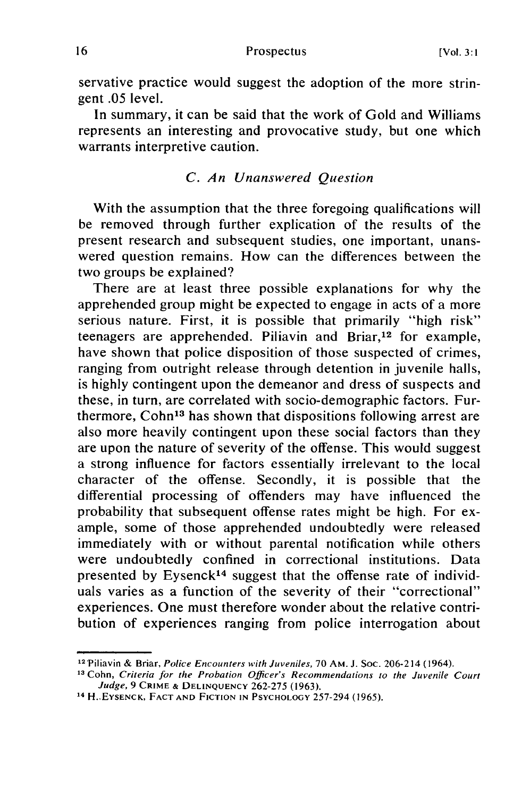servative practice would suggest the adoption of the more stringent .05 level.

In summary, it can be said that the work of Gold and Williams represents an interesting and provocative study, but one which warrants interpretive caution.

### *C. An Unanswered Question*

With the assumption that the three foregoing qualifications will be removed through further explication of the results of the present research and subsequent studies, one important, unanswered question remains. How can the differences between the two groups be explained?

There are at least three possible explanations for why the apprehended group might be expected to engage in acts of a more serious nature. First, it is possible that primarily "high risk" teenagers are apprehended. Piliavin and Briar,12 for example, have shown that police disposition of those suspected of crimes, ranging from outright release through detention in juvenile halls, is highly contingent upon the demeanor and dress of suspects and these, in turn, are correlated with socio-demographic factors. Furthermore, Cohn<sup>13</sup> has shown that dispositions following arrest are also more heavily contingent upon these social factors than they are upon the nature of severity of the offense. This would suggest a strong influence for factors essentially irrelevant to the local character of the offense. Secondly, it is possible that the differential processing of offenders may have influenced the probability that subsequent offense rates might be high. For example, some of those apprehended undoubtedly were released immediately with or without parental notification while others were undoubtedly confined in correctional institutions. Data presented by Eysenck<sup>14</sup> suggest that the offense rate of individuals varies as a function of the severity of their "correctional" experiences. One must therefore wonder about the relative contribution of experiences ranging from police interrogation about

<sup>12</sup> .Piliavin & Briar, Police Encounters *with* Juveniles, 70 AM. J. Soc. 206-214 (1964). **<sup>13</sup>**Cohn, Criteria for the *Probation Officer's Recommendations to the Juvenile Court*

*Judge,* 9 CRIME **& DELINQUENCY** 262-275 (1963).

<sup>14</sup>**H..EYSENCK, FACT AND FICTION IN** PSYCHOLOGY 257-294 (1965).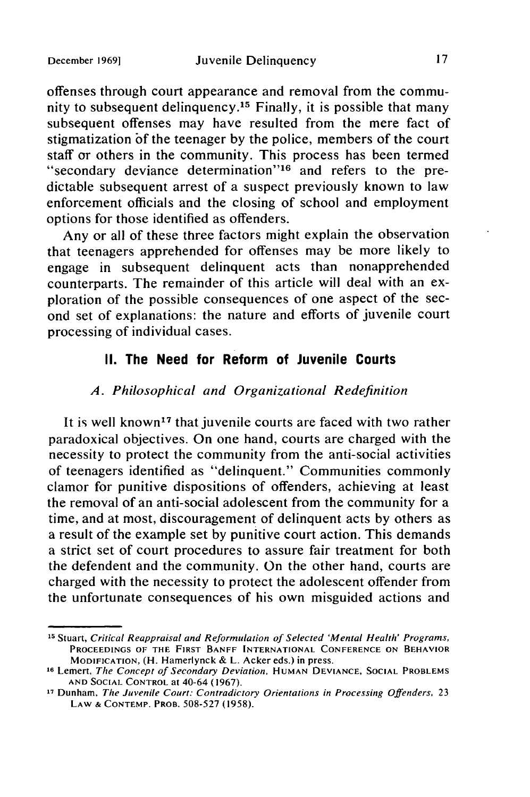offenses through court appearance and removal from the community to subsequent delinquency. 15 Finally, it is possible that many subsequent offenses may have resulted from the mere fact of stigmatization of the teenager by the police, members of the court staff or others in the community. This process has been termed "secondary deviance determination"<sup>16</sup> and refers to the predictable subsequent arrest of a suspect previously known to law enforcement officials and the closing of school and employment options for those identified as offenders.

Any or all of these three factors might explain the observation that teenagers apprehended for offenses may be more likely to engage in subsequent delinquent acts than nonapprehended counterparts. The remainder of this article will deal with an exploration of the possible consequences of one aspect of the second set of explanations: the nature and efforts of juvenile court processing of individual cases.

## **II. The Need for Reform of Juvenile Courts**

#### *A. Philosophical and Organizational Redefinition*

It is well known<sup>17</sup> that juvenile courts are faced with two rather paradoxical objectives. On one hand, courts are charged with the necessity to protect the community from the anti-social activities of teenagers identified as "delinquent." Communities commonly clamor for punitive dispositions of offenders, achieving at least the removal of an anti-social adolescent from the community for a time, and at most, discouragement of delinquent acts by others as a result of the example set by punitive court action. This demands a strict set of court procedures to assure fair treatment for both the defendent and the community. On the other hand, courts are charged with the necessity to protect the adolescent offender from the unfortunate consequences of his own misguided actions and

**<sup>15</sup>** Stuart, Critical Reappraisal and Reformulation of Selected 'Mental Health' Programs, **PROCEEDINGS** OF THE FIRST **BANFF INTERNATIONAL CONFERENCE ON** BEHAVIOR MODIFICATION, (H. Hamerlynck & L. Acker eds.) in press.

**<sup>16</sup>** Lemert, The Concept of Secondary Deviation, **HUMAN DEVIANCE, SOCIAL** PROBLEMS **AND SOCIAL** CONTROL at 40-64 (1967).

**<sup>17</sup>** Dunham, The Juvenile Court: Contradictory Orientations in Processing Offenders, 23 LAW **& CONTEMP.** PROB. 508-527 (1958).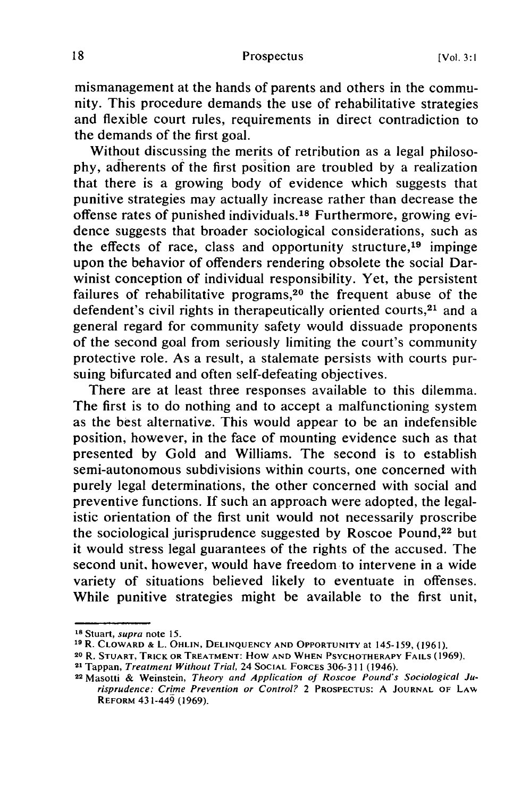mismanagement at the hands of parents and others in the community. This procedure demands the use of rehabilitative strategies and flexible court rules, requirements in direct contradiction to the demands of the first goal.

Without discussing the merits of retribution as a legal philosophy, adherents of the first position are troubled by a realization that there is a growing body of evidence which suggests that punitive strategies may actually increase rather than decrease the offense rates of punished individuals.18 Furthermore, growing evidence suggests that broader sociological considerations, such as the effects of race, class and opportunity structure,19 impinge upon the behavior of offenders rendering obsolete the social Darwinist conception of individual responsibility. Yet, the persistent failures of rehabilitative programs,<sup>20</sup> the frequent abuse of the defendent's civil rights in therapeutically oriented courts,<sup>21</sup> and a general regard for community safety would dissuade proponents of the second goal from seriously limiting the court's community protective role. As a result, a stalemate persists with courts pursuing bifurcated and often self-defeating objectives.

There are at least three responses available to this dilemma. The first is to do nothing and to accept a malfunctioning system as the best alternative. This would appear to be an indefensible position, however, in the face of mounting evidence such as that presented by Gold and Williams. The second is to establish semi-autonomous subdivisions within courts, one concerned with purely legal determinations, the other concerned with social and preventive functions. If such an approach were adopted, the legalistic orientation of the first unit would not necessarily proscribe the sociological jurisprudence suggested by Roscoe Pound, $22$  but it would stress legal guarantees of the rights of the accused. The second unit, however, would have freedom to intervene in a wide variety of situations believed likely to eventuate in offenses. While punitive strategies might be available to the first unit,

**<sup>18</sup>** Stuart, *supra* note **15.**

**<sup>19</sup>** R. CLOWARD **&** L. **OHLIN, DELINQUENCY AND** OPPORTUNITY at 145-159, (196 **1).**

**<sup>20</sup>** R. **STUART,** TRICK **OR** TREATMENT: **HOW AND** WHEN PSYCHOTHERAPY **FAILS** (1969).

<sup>21</sup> Tappan, *Treatment Without Trial,* 24 **SOCIAL** FORCES **306-311** (1946).

<sup>22</sup> Masotti & Weinstein, *Theory and Application oJ Roscoe* Pound's Sociological Jurisprudence: Crime Prevention or Control? 2 PROSPECTUS: A **JOURNAL** OF **LAw** REFORM 43 1-449 (1969).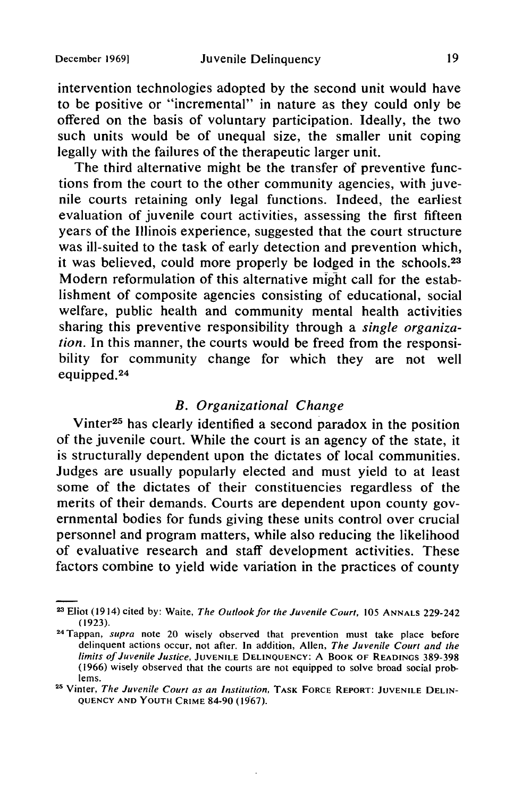intervention technologies adopted by the second unit would have to be positive or "incremental" in nature as they could only be offered on the basis of voluntary participation. Ideally, the two such units would be of unequal size, the smaller unit coping legally with the failures of the therapeutic larger unit.

The third alternative might be the transfer of preventive functions from the court to the other community agencies, with juvenile courts retaining only legal functions. Indeed, the earliest evaluation of juvenile court activities, assessing the first fifteen years of the Illinois experience, suggested that the court structure was ill-suited to the task of early detection and prevention which, it was believed, could more properly be lodged in the schools.<sup>23</sup> Modern reformulation of this alternative might call for the establishment of composite agencies consisting of educational, social welfare, public health and community mental health activities sharing this preventive responsibility through a *single organization.* In this manner, the courts would be freed from the responsibility for community change for which they are not well equipped.<sup>24</sup>

## *B. Organizational Change*

Vinter<sup>25</sup> has clearly identified a second paradox in the position of the juvenile court. While the court is an agency of the state, it is structurally dependent upon the dictates of local communities. Judges are usually popularly elected and must yield to at least some of the dictates of their constituencies regardless of the merits of their demands. Courts are dependent upon county governmental bodies for funds giving these units control over crucial personnel and program matters, while also reducing the likelihood of evaluative research and staff development activities. These factors combine to yield wide variation in the practices of county

**<sup>2</sup>**Eliot (1914) cited **by:** Waite, The Outlook for the Juvenile Court, 105 **ANNALS** 229-242 (1923). 24Tappan, supra note 20 wisely observed that prevention must take place before

delinquent actions occur, not after. In addition, Allen, The Juvenile Court and the limits of Juvenile Justice, **JUVENILE DELINQUENCY:** A BOOK OF **READINGS** 389-398 (1966) wisely observed that the courts are not equipped to solve broad social problems.

**<sup>25</sup>** Vinter, The Juvenile Court as an Institution, TASK FORCE REPORT: **JUVENILE DELIN-QUENCY AND YOUTH** CRIME 84-90 (1967).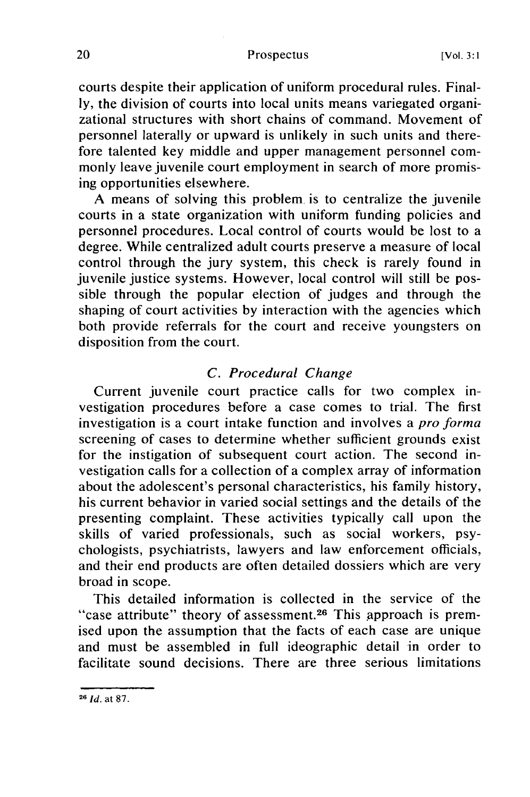courts despite their application of uniform procedural rules. Finally, the division of courts into local units means variegated organizational structures with short chains of command. Movement of personnel laterally or upward is unlikely in such units and therefore talented key middle and upper management personnel commonly leave juvenile court employment in search of more promising opportunities elsewhere.

A means of solving this problem is to centralize the juvenile courts in a state organization with uniform funding policies and personnel procedures. Local control of courts would be lost to a degree. While centralized adult courts preserve a measure of local control through the jury system, this check is rarely found in juvenile justice systems. However, local control will still be possible through the popular election of judges and through the shaping of court activities by interaction with the agencies which both provide referrals for the court and receive youngsters on disposition from the court.

#### *C. Procedural Change*

Current juvenile court practice calls for two complex investigation procedures before a case comes to trial. The first investigation is a court intake function and involves a *pro forma* screening of cases to determine whether sufficient grounds exist for the instigation of subsequent court action. The second investigation calls for a collection of a complex array of information about the adolescent's personal characteristics, his family history, his current behavior in varied social settings and the details of the presenting complaint. These activities typically call upon the skills of varied professionals, such as social workers, psychologists, psychiatrists, lawyers and law enforcement officials, and their end products are often detailed dossiers which are very broad in scope.

This detailed information is collected in the service of the "case attribute" theory of assessment.<sup>26</sup> This approach is premised upon the assumption that the facts of each case are unique and must be assembled in full ideographic detail in order to facilitate sound decisions. There are three serious limitations

**<sup>26</sup>***Id.* at 87.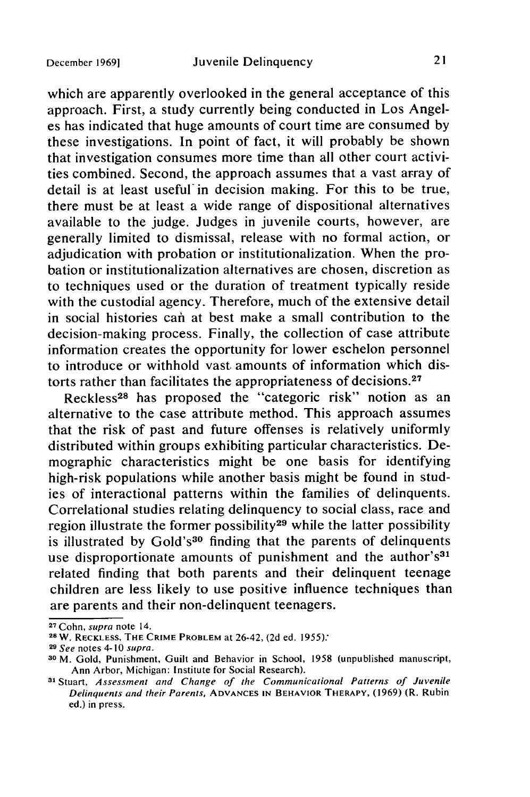which are apparently overlooked in the general acceptance of this approach. First, a study currently being conducted in Los Angeles has indicated that huge amounts of court time are consumed by these investigations. In point of fact, it will probably be shown that investigation consumes more time than all other court activities combined. Second, the approach assumes that a vast array of detail is at least useful in decision making. For this to be true, there must be at least a wide range of dispositional alternatives available to the judge. Judges in juvenile courts, however, are generally limited to dismissal, release with no formal action, or adjudication with probation or institutionalization. When the probation or institutionalization alternatives are chosen, discretion as to techniques used or the duration of treatment typically reside with the custodial agency. Therefore, much of the extensive detail in social histories can at best make a small contribution to the decision-making process. Finally, the collection of case attribute information creates the opportunity for lower eschelon personnel to introduce or withhold vast. amounts of information which distorts rather than facilitates the appropriateness of decisions.<sup>27</sup>

Reckless<sup>28</sup> has proposed the "categoric risk" notion as an alternative to the case attribute method. This approach assumes that the risk of past and future offenses is relatively uniformly distributed within groups exhibiting particular characteristics. Demographic characteristics might be one basis for identifying high-risk populations while another basis might be found in studies of interactional patterns within the families of delinquents. Correlational studies relating delinquency to social class, race and region illustrate the former possibility<sup>29</sup> while the latter possibility is illustrated by Gold's<sup>30</sup> finding that the parents of delinquents use disproportionate amounts of punishment and the author's<sup>31</sup> related finding that both parents and their delinquent teenage children are less likely to use positive influence techniques than are parents and their non-delinquent teenagers.

**<sup>27</sup>**Cohn, *supra* note 14.

**<sup>28</sup>W.** RECKLESS, THE CRIME PROBLEM at 26-42, (2d ed. 1955):

**<sup>29</sup>***See* notes 4-10 *supra.*

**<sup>30</sup>**M. Gold, Punishment, Guilt and Behavior in School, 1958 (unpublished manuscript, Ann Arbor, Michigan: Institute for Social Research).

<sup>&</sup>lt;sup>31</sup> Stuart, Assessment and Change of the Communicational Patterns of Juvenile *Delinquents and their Parents,* **ADVANCES IN BEHAVIOR THERAPY,** (1969) (R. Rubin ed.) in press.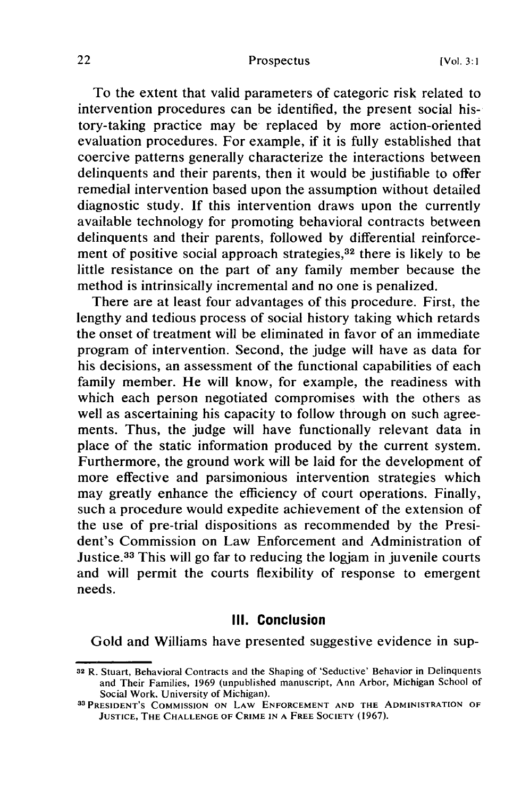To the extent that valid parameters of categoric risk related to intervention procedures can be identified, the present social history-taking practice may be replaced by more action-oriented evaluation procedures. For example, if it is fully established that coercive patterns generally characterize the interactions between delinquents and their parents, then it would be justifiable to offer remedial intervention based upon the assumption without detailed diagnostic study. If this intervention draws upon the currently available technology for promoting behavioral contracts between delinquents and their parents, followed by differential reinforcement of positive social approach strategies, $3<sup>2</sup>$  there is likely to be little resistance on the part of any family member because the method is intrinsically incremental and no one is penalized.

There are at least four advantages of this procedure. First, the lengthy and tedious process of social history taking which retards the onset of treatment will be eliminated in favor of an immediate program of intervention. Second, the judge will have as data for his decisions, an assessment of the functional capabilities of each family member. He will know, for example, the readiness with which each person negotiated compromises with the others as well as ascertaining his capacity to follow through on such agreements. Thus, the judge will have functionally relevant data in place of the static information produced by the current system. Furthermore, the ground work will be laid for the development of more effective and parsimonious intervention strategies which may greatly enhance the efficiency of court operations. Finally, such a procedure would expedite achievement of the extension of the use of pre-trial dispositions as recommended by the President's Commission on Law Enforcement and Administration of Justice.33 This will go far to reducing the logjam in juvenile courts and will permit the courts flexibility of response to emergent needs.

#### **III. Conclusion**

Gold and Williams have presented suggestive evidence in sup-

**<sup>32</sup>**R. Stuart, Behavioral Contracts and the Shaping of 'Seductive' Behavior in Delinquents and Their Families, 1969 (unpublished manuscript, Ann Arbor, Michigan School of Social Work. University of Michigan).

**<sup>33</sup>PRESIDENT'S** COMMISSION **ON** LAW **ENFORCEMENT AND** THE **ADMINISTRATION** OF **JUSTICE, THE CHALLENGE** OF **CRIME IN A FREE SOCIETY (1967).**